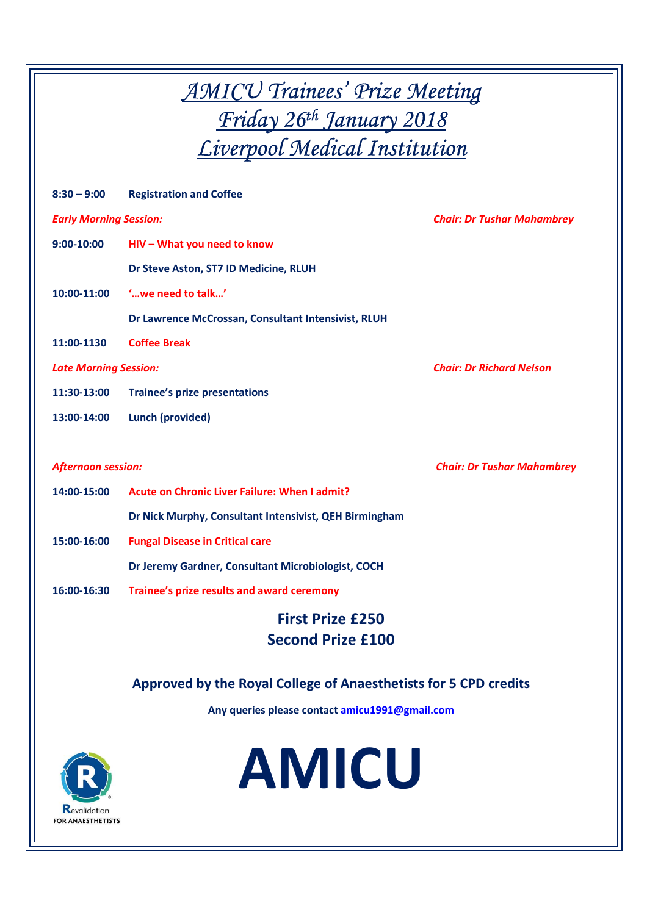*AMICU Trainees' Prize Meeting Friday 26th January 2018 Liverpool Medical Institution* 

| $8:30 - 9:00$                 | <b>Registration and Coffee</b>                         |                                   |
|-------------------------------|--------------------------------------------------------|-----------------------------------|
| <b>Early Morning Session:</b> |                                                        | <b>Chair: Dr Tushar Mahambrey</b> |
| $9:00 - 10:00$                | HIV - What you need to know                            |                                   |
|                               | Dr Steve Aston, ST7 ID Medicine, RLUH                  |                                   |
| 10:00-11:00                   | ' we need to talk'                                     |                                   |
|                               | Dr Lawrence McCrossan, Consultant Intensivist, RLUH    |                                   |
| 11:00-1130                    | <b>Coffee Break</b>                                    |                                   |
| <b>Late Morning Session:</b>  |                                                        | <b>Chair: Dr Richard Nelson</b>   |
| 11:30-13:00                   | <b>Trainee's prize presentations</b>                   |                                   |
| 13:00-14:00                   | <b>Lunch (provided)</b>                                |                                   |
|                               |                                                        |                                   |
| <b>Afternoon session:</b>     |                                                        | <b>Chair: Dr Tushar Mahambrey</b> |
| 14:00-15:00                   | Acute on Chronic Liver Failure: When I admit?          |                                   |
|                               | Dr Nick Murphy, Consultant Intensivist, QEH Birmingham |                                   |
| 15:00-16:00                   | <b>Fungal Disease in Critical care</b>                 |                                   |
|                               | Dr Jeremy Gardner, Consultant Microbiologist, COCH     |                                   |
| 16:00-16:30                   | Trainee's prize results and award ceremony             |                                   |
| <b>First Prize £250</b>       |                                                        |                                   |
|                               | <b>Second Prize £100</b>                               |                                   |

**Approved by the Royal College of Anaesthetists for 5 CPD credits** 

**Any queries please contact amicu1991@gmail.com**

**AMICU**